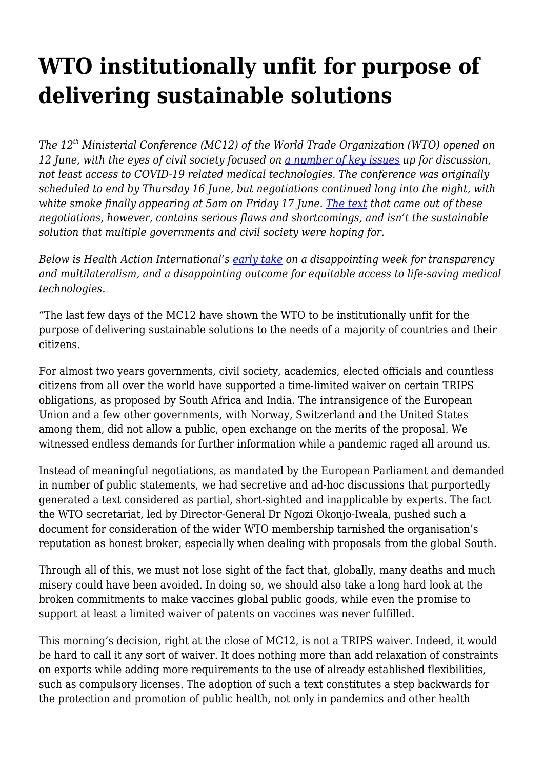## **WTO institutionally unfit for purpose of delivering sustainable solutions**

*The 12th Ministerial Conference (MC12) of the World Trade Organization (WTO) opened on 12 June, with the eyes of civil society focused on [a number of key issues](https://www.wto.org/english/thewto_e/minist_e/mc12_e/documents_e.htm) up for discussion, not least access to COVID-19 related medical technologies. The conference was originally scheduled to end by Thursday 16 June, but negotiations continued long into the night, with white smoke finally appearing at 5am on Friday 17 June. [The text](https://docs.wto.org/dol2fe/Pages/SS/directdoc.aspx?filename=q:/WT/MIN22/W13.pdf&Open=True) that came out of these negotiations, however, contains serious flaws and shortcomings, and isn't the sustainable solution that multiple governments and civil society were hoping for.*

*Below is Health Action International's [early take](https://haiweb.org/publication/hai-statement-on-the-outcome-of-trips-negotiations-at-wto-mc12/) on a disappointing week for transparency and multilateralism, and a disappointing outcome for equitable access to life-saving medical technologies.*

"The last few days of the MC12 have shown the WTO to be institutionally unfit for the purpose of delivering sustainable solutions to the needs of a majority of countries and their citizens.

For almost two years governments, civil society, academics, elected officials and countless citizens from all over the world have supported a time-limited waiver on certain TRIPS obligations, as proposed by South Africa and India. The intransigence of the European Union and a few other governments, with Norway, Switzerland and the United States among them, did not allow a public, open exchange on the merits of the proposal. We witnessed endless demands for further information while a pandemic raged all around us.

Instead of meaningful negotiations, as mandated by the European Parliament and demanded in number of public statements, we had secretive and ad-hoc discussions that purportedly generated a text considered as partial, short-sighted and inapplicable by experts. The fact the WTO secretariat, led by Director-General Dr Ngozi Okonjo-Iweala, pushed such a document for consideration of the wider WTO membership tarnished the organisation's reputation as honest broker, especially when dealing with proposals from the global South.

Through all of this, we must not lose sight of the fact that, globally, many deaths and much misery could have been avoided. In doing so, we should also take a long hard look at the broken commitments to make vaccines global public goods, while even the promise to support at least a limited waiver of patents on vaccines was never fulfilled.

This morning's decision, right at the close of MC12, is not a TRIPS waiver. Indeed, it would be hard to call it any sort of waiver. It does nothing more than add relaxation of constraints on exports while adding more requirements to the use of already established flexibilities, such as compulsory licenses. The adoption of such a text constitutes a step backwards for the protection and promotion of public health, not only in pandemics and other health